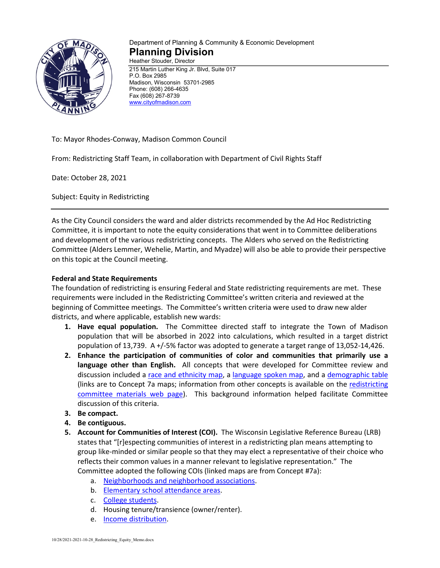

## Department of Planning & Community & Economic Development **Planning Division** Heather Stouder, Director

215 Martin Luther King Jr. Blvd, Suite 017 P.O. Box 2985 Madison, Wisconsin 53701-2985 Phone: (608) 266-4635 Fax (608) 267-8739 [www.cityofmadison.com](http://www.cityofmadison.com/)

To: Mayor Rhodes-Conway, Madison Common Council

From: Redistricting Staff Team, in collaboration with Department of Civil Rights Staff

Date: October 28, 2021

Subject: Equity in Redistricting

As the City Council considers the ward and alder districts recommended by the Ad Hoc Redistricting Committee, it is important to note the equity considerations that went in to Committee deliberations and development of the various redistricting concepts. The Alders who served on the Redistricting Committee (Alders Lemmer, Wehelie, Martin, and Myadze) will also be able to provide their perspective on this topic at the Council meeting.

## **Federal and State Requirements**

The foundation of redistricting is ensuring Federal and State redistricting requirements are met. These requirements were included in the Redistricting Committee's written criteria and reviewed at the beginning of Committee meetings. The Committee's written criteria were used to draw new alder districts, and where applicable, establish new wards:

- **1. Have equal population.** The Committee directed staff to integrate the Town of Madison population that will be absorbed in 2022 into calculations, which resulted in a target district population of 13,739. A +/-5% factor was adopted to generate a target range of 13,052-14,426.
- **2. Enhance the participation of communities of color and communities that primarily use a language other than English.** All concepts that were developed for Committee review and discussion included a [race and ethnicity map,](https://www.cityofmadison.com/dpced/planning/documents/Concept%207a%20Race%20or%20Ethnicity%20101121(1).pdf) a [language spoken map,](https://www.cityofmadison.com/dpced/planning/documents/Concept%207a%20Language%20Spoken.pdf) and a [demographic table](https://www.cityofmadison.com/dpced/planning/documents/2020%20Census%20Data%20Tables%20by%20Proposed%20Concept%207a%20Updated%20101121.pdf) (links are to Concept 7a maps; information from other concepts is available on the [redistricting](https://www.cityofmadison.com/dpced/planning/redistricting-committee-materials/3674/)  [committee materials web page\)](https://www.cityofmadison.com/dpced/planning/redistricting-committee-materials/3674/). This background information helped facilitate Committee discussion of this criteria.
- **3. Be compact.**
- **4. Be contiguous.**
- **5. Account for Communities of Interest (COI).** The Wisconsin Legislative Reference Bureau (LRB) states that "[r]especting communities of interest in a redistricting plan means attempting to group like-minded or similar people so that they may elect a representative of their choice who reflects their common values in a manner relevant to legislative representation." The Committee adopted the following COIs (linked maps are from Concept #7a):
	- a. [Neighborhoods and neighborhood associations.](https://www.cityofmadison.com/dpced/planning/documents/Concept%207a%20-%20Neighborhood%20Associations.pdf)
	- b. [Elementary school attendance areas.](https://www.cityofmadison.com/dpced/planning/documents/Concept%207a%20Elementary%20School%20Attendance%20Areas.pdf)
	- c. [College students.](https://www.cityofmadison.com/dpced/planning/documents/Concept%207a%20-%20Campus%20Housing.pdf)
	- d. Housing tenure/transience (owner/renter).
	- e. [Income distribution.](https://www.cityofmadison.com/dpced/planning/documents/Concept%207a%20Income.pdf)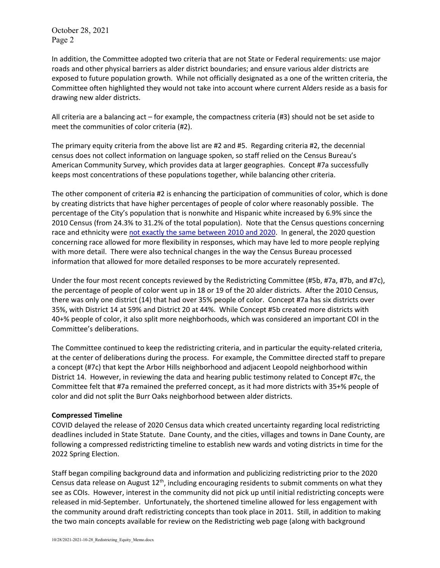October 28, 2021 Page 2

In addition, the Committee adopted two criteria that are not State or Federal requirements: use major roads and other physical barriers as alder district boundaries; and ensure various alder districts are exposed to future population growth. While not officially designated as a one of the written criteria, the Committee often highlighted they would not take into account where current Alders reside as a basis for drawing new alder districts.

All criteria are a balancing act – for example, the compactness criteria (#3) should not be set aside to meet the communities of color criteria (#2).

The primary equity criteria from the above list are #2 and #5. Regarding criteria #2, the decennial census does not collect information on language spoken, so staff relied on the Census Bureau's American Community Survey, which provides data at larger geographies. Concept #7a successfully keeps most concentrations of these populations together, while balancing other criteria.

The other component of criteria #2 is enhancing the participation of communities of color, which is done by creating districts that have higher percentages of people of color where reasonably possible. The percentage of the City's population that is nonwhite and Hispanic white increased by 6.9% since the 2010 Census (from 24.3% to 31.2% of the total population). Note that the Census questions concerning race and ethnicity wer[e not exactly the same between 2010 and 2020.](https://www.census.gov/newsroom/blogs/random-samplings/2021/08/improvements-to-2020-census-race-hispanic-origin-question-designs.html) In general, the 2020 question concerning race allowed for more flexibility in responses, which may have led to more people replying with more detail. There were also technical changes in the way the Census Bureau processed information that allowed for more detailed responses to be more accurately represented.

Under the four most recent concepts reviewed by the Redistricting Committee (#5b, #7a, #7b, and #7c), the percentage of people of color went up in 18 or 19 of the 20 alder districts. After the 2010 Census, there was only one district (14) that had over 35% people of color. Concept #7a has six districts over 35%, with District 14 at 59% and District 20 at 44%. While Concept #5b created more districts with 40+% people of color, it also split more neighborhoods, which was considered an important COI in the Committee's deliberations.

The Committee continued to keep the redistricting criteria, and in particular the equity-related criteria, at the center of deliberations during the process. For example, the Committee directed staff to prepare a concept (#7c) that kept the Arbor Hills neighborhood and adjacent Leopold neighborhood within District 14. However, in reviewing the data and hearing public testimony related to Concept #7c, the Committee felt that #7a remained the preferred concept, as it had more districts with 35+% people of color and did not split the Burr Oaks neighborhood between alder districts.

## **Compressed Timeline**

COVID delayed the release of 2020 Census data which created uncertainty regarding local redistricting deadlines included in State Statute. Dane County, and the cities, villages and towns in Dane County, are following a compressed redistricting timeline to establish new wards and voting districts in time for the 2022 Spring Election.

Staff began compiling background data and information and publicizing redistricting prior to the 2020 Census data release on August  $12<sup>th</sup>$ , including encouraging residents to submit comments on what they see as COIs. However, interest in the community did not pick up until initial redistricting concepts were released in mid-September. Unfortunately, the shortened timeline allowed for less engagement with the community around draft redistricting concepts than took place in 2011. Still, in addition to making the two main concepts available for review on the Redistricting web page (along with background